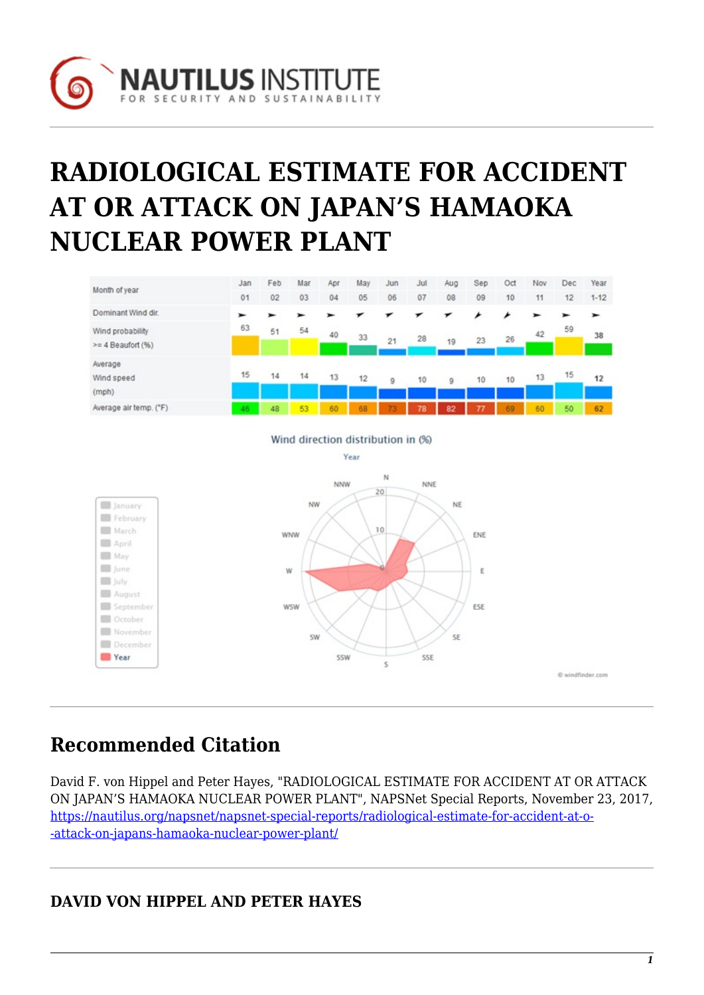

# **RADIOLOGICAL ESTIMATE FOR ACCIDENT AT OR ATTACK ON JAPAN'S HAMAOKA NUCLEAR POWER PLANT**



## **Recommended Citation**

**December Year** 

David F. von Hippel and Peter Hayes, "RADIOLOGICAL ESTIMATE FOR ACCIDENT AT OR ATTACK ON JAPAN'S HAMAOKA NUCLEAR POWER PLANT", NAPSNet Special Reports, November 23, 2017, [https://nautilus.org/napsnet/napsnet-special-reports/radiological-estimate-for-accident-at-o-](https://nautilus.org/napsnet/napsnet-special-reports/radiological-estimate-for-accident-at-or-attack-on-japans-hamaoka-nuclear-power-plant/) [-attack-on-japans-hamaoka-nuclear-power-plant/](https://nautilus.org/napsnet/napsnet-special-reports/radiological-estimate-for-accident-at-or-attack-on-japans-hamaoka-nuclear-power-plant/)

**SSW** 

SSE

 $\overline{\mathbf{S}}$ 

## **DAVID VON HIPPEL AND PETER HAYES**

© windfinder com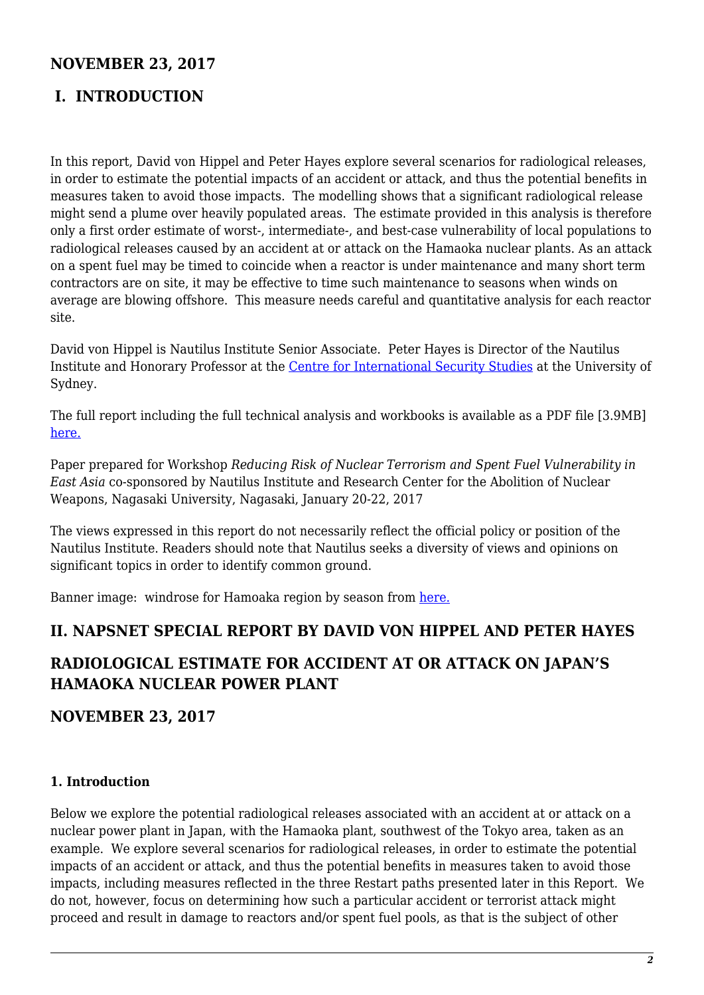## **NOVEMBER 23, 2017**

## **I. INTRODUCTION**

In this report, David von Hippel and Peter Hayes explore several scenarios for radiological releases, in order to estimate the potential impacts of an accident or attack, and thus the potential benefits in measures taken to avoid those impacts. The modelling shows that a significant radiological release might send a plume over heavily populated areas. The estimate provided in this analysis is therefore only a first order estimate of worst-, intermediate-, and best-case vulnerability of local populations to radiological releases caused by an accident at or attack on the Hamaoka nuclear plants. As an attack on a spent fuel may be timed to coincide when a reactor is under maintenance and many short term contractors are on site, it may be effective to time such maintenance to seasons when winds on average are blowing offshore. This measure needs careful and quantitative analysis for each reactor site.

David von Hippel is Nautilus Institute Senior Associate. Peter Hayes is Director of the Nautilus Institute and Honorary Professor at the [Centre for International Security Studies](http://sydney.edu.au/arts/ciss/) at the University of Sydney.

The full report including the full technical analysis and workbooks is available as a PDF file [3.9MB] [here.](https://nautilus.org/wp-content/uploads/2017/09/Kae-Takase-David-von-Hippel-Interim-SF-Storage-Japan-SR-Full-Oct13-2017_dvh_edits-1.pdf)

Paper prepared for Workshop *Reducing Risk of Nuclear Terrorism and Spent Fuel Vulnerability in East Asia* co-sponsored by Nautilus Institute and Research Center for the Abolition of Nuclear Weapons, Nagasaki University, Nagasaki, January 20-22, 2017

The views expressed in this report do not necessarily reflect the official policy or position of the Nautilus Institute. Readers should note that Nautilus seeks a diversity of views and opinions on significant topics in order to identify common ground.

Banner image: windrose for Hamoaka region by season from [here.](http://nautilus.org/Windfinder.com)

#### **II. NAPSNET SPECIAL REPORT BY DAVID VON HIPPEL AND PETER HAYES**

## **RADIOLOGICAL ESTIMATE FOR ACCIDENT AT OR ATTACK ON JAPAN'S HAMAOKA NUCLEAR POWER PLANT**

**NOVEMBER 23, 2017**

#### **1. Introduction**

Below we explore the potential radiological releases associated with an accident at or attack on a nuclear power plant in Japan, with the Hamaoka plant, southwest of the Tokyo area, taken as an example. We explore several scenarios for radiological releases, in order to estimate the potential impacts of an accident or attack, and thus the potential benefits in measures taken to avoid those impacts, including measures reflected in the three Restart paths presented later in this Report. We do not, however, focus on determining how such a particular accident or terrorist attack might proceed and result in damage to reactors and/or spent fuel pools, as that is the subject of other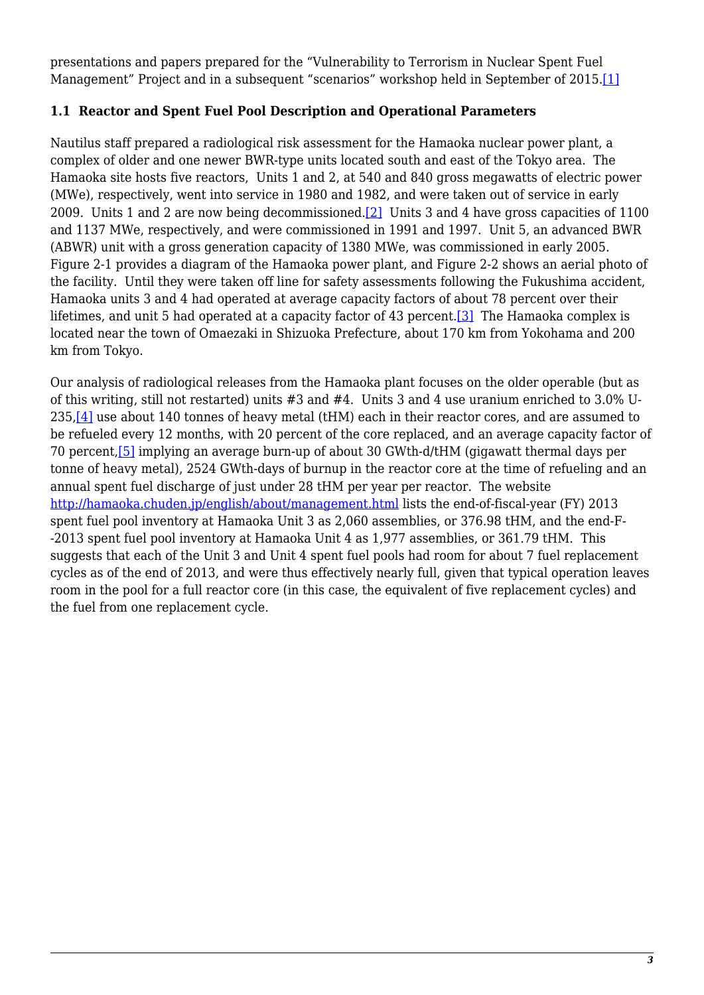<span id="page-2-0"></span>presentations and papers prepared for the "Vulnerability to Terrorism in Nuclear Spent Fuel Management" Project and in a subsequent "scenarios" workshop held in September of 2015.[\[1\]](#page-16-0)

#### **1.1 Reactor and Spent Fuel Pool Description and Operational Parameters**

<span id="page-2-1"></span>Nautilus staff prepared a radiological risk assessment for the Hamaoka nuclear power plant, a complex of older and one newer BWR-type units located south and east of the Tokyo area. The Hamaoka site hosts five reactors, Units 1 and 2, at 540 and 840 gross megawatts of electric power (MWe), respectively, went into service in 1980 and 1982, and were taken out of service in early 2009. Units 1 and 2 are now being decommissioned[.\[2\]](#page-16-1) Units 3 and 4 have gross capacities of 1100 and 1137 MWe, respectively, and were commissioned in 1991 and 1997. Unit 5, an advanced BWR (ABWR) unit with a gross generation capacity of 1380 MWe, was commissioned in early 2005. Figure 2‑1 provides a diagram of the Hamaoka power plant, and Figure 2‑2 shows an aerial photo of the facility. Until they were taken off line for safety assessments following the Fukushima accident, Hamaoka units 3 and 4 had operated at average capacity factors of about 78 percent over their lifetimes, and unit 5 had operated at a capacity factor of 43 percent.[\[3\]](#page-16-2) The Hamaoka complex is located near the town of Omaezaki in Shizuoka Prefecture, about 170 km from Yokohama and 200 km from Tokyo.

<span id="page-2-4"></span><span id="page-2-3"></span><span id="page-2-2"></span>Our analysis of radiological releases from the Hamaoka plant focuses on the older operable (but as of this writing, still not restarted) units #3 and #4. Units 3 and 4 use uranium enriched to 3.0% U-235,[\[4\]](#page-16-3) use about 140 tonnes of heavy metal (tHM) each in their reactor cores, and are assumed to be refueled every 12 months, with 20 percent of the core replaced, and an average capacity factor of 70 percent[,\[5\]](#page-17-0) implying an average burn-up of about 30 GWth-d/tHM (gigawatt thermal days per tonne of heavy metal), 2524 GWth-days of burnup in the reactor core at the time of refueling and an annual spent fuel discharge of just under 28 tHM per year per reactor. The website <http://hamaoka.chuden.jp/english/about/management.html> lists the end-of-fiscal-year (FY) 2013 spent fuel pool inventory at Hamaoka Unit 3 as 2,060 assemblies, or 376.98 tHM, and the end-F- -2013 spent fuel pool inventory at Hamaoka Unit 4 as 1,977 assemblies, or 361.79 tHM. This suggests that each of the Unit 3 and Unit 4 spent fuel pools had room for about 7 fuel replacement cycles as of the end of 2013, and were thus effectively nearly full, given that typical operation leaves room in the pool for a full reactor core (in this case, the equivalent of five replacement cycles) and the fuel from one replacement cycle.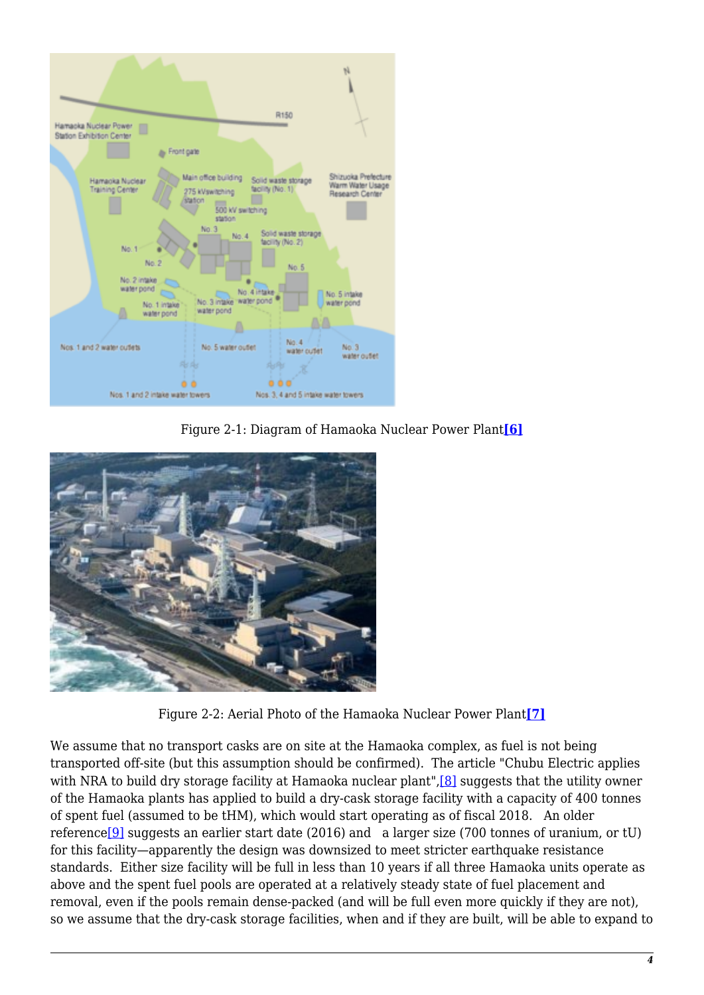

Figure 2‑1: Diagram of Hamaoka Nuclear Power Plant**[\[6\]](#page-17-1)**

<span id="page-3-0"></span>

Figure 2‑2: Aerial Photo of the Hamaoka Nuclear Power Plant**[\[7\]](#page-17-2)**

<span id="page-3-3"></span><span id="page-3-2"></span><span id="page-3-1"></span>We assume that no transport casks are on site at the Hamaoka complex, as fuel is not being transported off-site (but this assumption should be confirmed). The article "Chubu Electric applies with NRA to build dry storage facility at Hamaoka nuclear plant", [8] suggests that the utility owner of the Hamaoka plants has applied to build a dry-cask storage facility with a capacity of 400 tonnes of spent fuel (assumed to be tHM), which would start operating as of fiscal 2018. An older reference[\[9\]](#page-17-4) suggests an earlier start date (2016) and a larger size (700 tonnes of uranium, or tU) for this facility—apparently the design was downsized to meet stricter earthquake resistance standards. Either size facility will be full in less than 10 years if all three Hamaoka units operate as above and the spent fuel pools are operated at a relatively steady state of fuel placement and removal, even if the pools remain dense-packed (and will be full even more quickly if they are not), so we assume that the dry-cask storage facilities, when and if they are built, will be able to expand to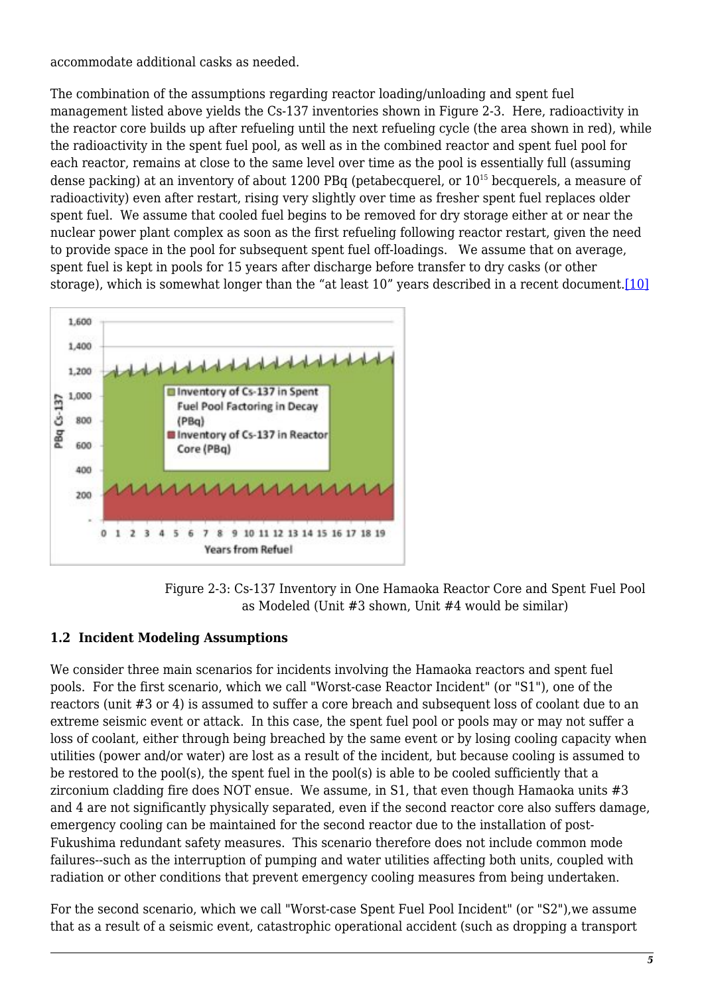accommodate additional casks as needed.

The combination of the assumptions regarding reactor loading/unloading and spent fuel management listed above yields the Cs-137 inventories shown in Figure 2‑3. Here, radioactivity in the reactor core builds up after refueling until the next refueling cycle (the area shown in red), while the radioactivity in the spent fuel pool, as well as in the combined reactor and spent fuel pool for each reactor, remains at close to the same level over time as the pool is essentially full (assuming dense packing) at an inventory of about 1200 PBq (petabecquerel, or 10<sup>15</sup> becquerels, a measure of radioactivity) even after restart, rising very slightly over time as fresher spent fuel replaces older spent fuel. We assume that cooled fuel begins to be removed for dry storage either at or near the nuclear power plant complex as soon as the first refueling following reactor restart, given the need to provide space in the pool for subsequent spent fuel off-loadings. We assume that on average, spent fuel is kept in pools for 15 years after discharge before transfer to dry casks (or other storage), which is somewhat longer than the "at least 10" years described in a recent document.<sup>[\[10\]](#page-17-5)</sup>

<span id="page-4-0"></span>

Figure 2‑3: Cs-137 Inventory in One Hamaoka Reactor Core and Spent Fuel Pool as Modeled (Unit #3 shown, Unit #4 would be similar)

#### **1.2 Incident Modeling Assumptions**

We consider three main scenarios for incidents involving the Hamaoka reactors and spent fuel pools. For the first scenario, which we call "Worst-case Reactor Incident" (or "S1"), one of the reactors (unit #3 or 4) is assumed to suffer a core breach and subsequent loss of coolant due to an extreme seismic event or attack. In this case, the spent fuel pool or pools may or may not suffer a loss of coolant, either through being breached by the same event or by losing cooling capacity when utilities (power and/or water) are lost as a result of the incident, but because cooling is assumed to be restored to the pool(s), the spent fuel in the pool(s) is able to be cooled sufficiently that a zirconium cladding fire does NOT ensue. We assume, in S1, that even though Hamaoka units #3 and 4 are not significantly physically separated, even if the second reactor core also suffers damage, emergency cooling can be maintained for the second reactor due to the installation of post-Fukushima redundant safety measures. This scenario therefore does not include common mode failures--such as the interruption of pumping and water utilities affecting both units, coupled with radiation or other conditions that prevent emergency cooling measures from being undertaken.

For the second scenario, which we call "Worst-case Spent Fuel Pool Incident" (or "S2"),we assume that as a result of a seismic event, catastrophic operational accident (such as dropping a transport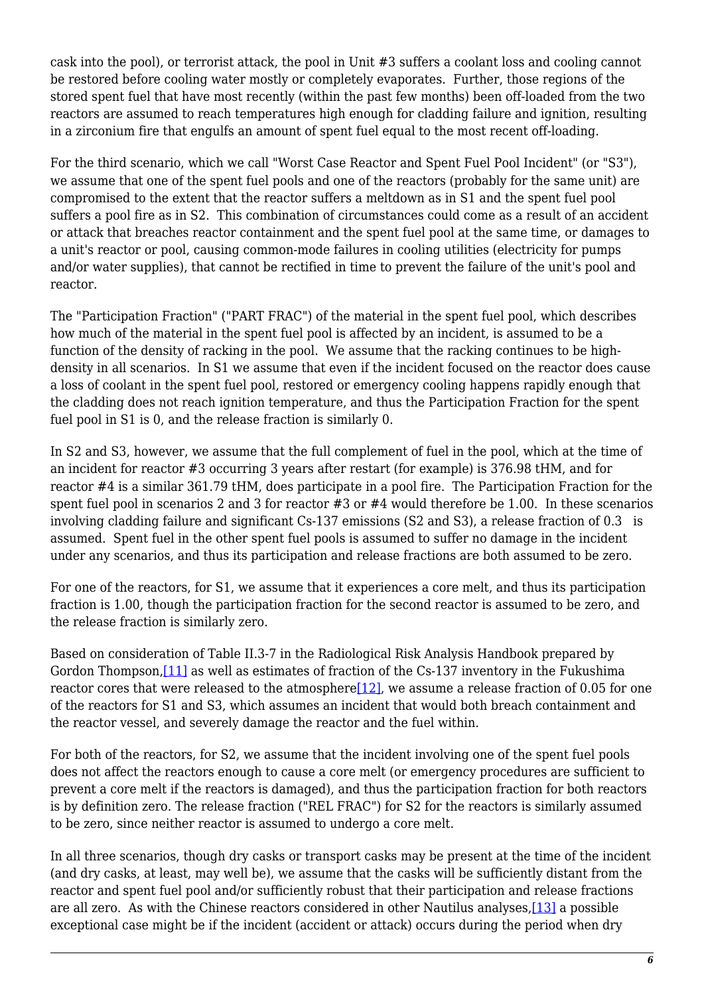cask into the pool), or terrorist attack, the pool in Unit #3 suffers a coolant loss and cooling cannot be restored before cooling water mostly or completely evaporates. Further, those regions of the stored spent fuel that have most recently (within the past few months) been off-loaded from the two reactors are assumed to reach temperatures high enough for cladding failure and ignition, resulting in a zirconium fire that engulfs an amount of spent fuel equal to the most recent off-loading.

For the third scenario, which we call "Worst Case Reactor and Spent Fuel Pool Incident" (or "S3"), we assume that one of the spent fuel pools and one of the reactors (probably for the same unit) are compromised to the extent that the reactor suffers a meltdown as in S1 and the spent fuel pool suffers a pool fire as in S2. This combination of circumstances could come as a result of an accident or attack that breaches reactor containment and the spent fuel pool at the same time, or damages to a unit's reactor or pool, causing common-mode failures in cooling utilities (electricity for pumps and/or water supplies), that cannot be rectified in time to prevent the failure of the unit's pool and reactor.

The "Participation Fraction" ("PART FRAC") of the material in the spent fuel pool, which describes how much of the material in the spent fuel pool is affected by an incident, is assumed to be a function of the density of racking in the pool. We assume that the racking continues to be highdensity in all scenarios. In S1 we assume that even if the incident focused on the reactor does cause a loss of coolant in the spent fuel pool, restored or emergency cooling happens rapidly enough that the cladding does not reach ignition temperature, and thus the Participation Fraction for the spent fuel pool in S1 is 0, and the release fraction is similarly 0.

In S2 and S3, however, we assume that the full complement of fuel in the pool, which at the time of an incident for reactor #3 occurring 3 years after restart (for example) is 376.98 tHM, and for reactor #4 is a similar 361.79 tHM, does participate in a pool fire. The Participation Fraction for the spent fuel pool in scenarios 2 and 3 for reactor #3 or #4 would therefore be 1.00. In these scenarios involving cladding failure and significant Cs-137 emissions (S2 and S3), a release fraction of 0.3 is assumed. Spent fuel in the other spent fuel pools is assumed to suffer no damage in the incident under any scenarios, and thus its participation and release fractions are both assumed to be zero.

For one of the reactors, for S1, we assume that it experiences a core melt, and thus its participation fraction is 1.00, though the participation fraction for the second reactor is assumed to be zero, and the release fraction is similarly zero.

<span id="page-5-1"></span><span id="page-5-0"></span>Based on consideration of Table II.3-7 in the Radiological Risk Analysis Handbook prepared by Gordon Thompson[,\[11\]](#page-17-6) as well as estimates of fraction of the Cs-137 inventory in the Fukushima reactor cores that were released to the atmosphere $[12]$ , we assume a release fraction of 0.05 for one of the reactors for S1 and S3, which assumes an incident that would both breach containment and the reactor vessel, and severely damage the reactor and the fuel within.

For both of the reactors, for S2, we assume that the incident involving one of the spent fuel pools does not affect the reactors enough to cause a core melt (or emergency procedures are sufficient to prevent a core melt if the reactors is damaged), and thus the participation fraction for both reactors is by definition zero. The release fraction ("REL FRAC") for S2 for the reactors is similarly assumed to be zero, since neither reactor is assumed to undergo a core melt.

<span id="page-5-2"></span>In all three scenarios, though dry casks or transport casks may be present at the time of the incident (and dry casks, at least, may well be), we assume that the casks will be sufficiently distant from the reactor and spent fuel pool and/or sufficiently robust that their participation and release fractions are all zero. As with the Chinese reactors considered in other Nautilus analyses,[\[13\]](#page-17-8) a possible exceptional case might be if the incident (accident or attack) occurs during the period when dry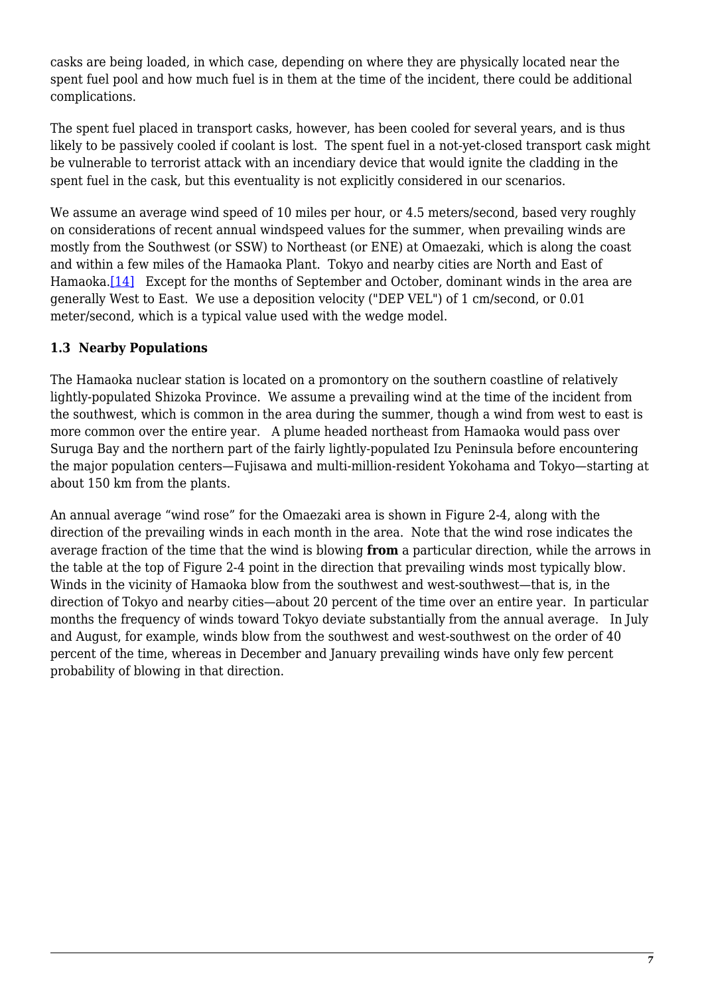casks are being loaded, in which case, depending on where they are physically located near the spent fuel pool and how much fuel is in them at the time of the incident, there could be additional complications.

The spent fuel placed in transport casks, however, has been cooled for several years, and is thus likely to be passively cooled if coolant is lost. The spent fuel in a not-yet-closed transport cask might be vulnerable to terrorist attack with an incendiary device that would ignite the cladding in the spent fuel in the cask, but this eventuality is not explicitly considered in our scenarios.

We assume an average wind speed of 10 miles per hour, or 4.5 meters/second, based very roughly on considerations of recent annual windspeed values for the summer, when prevailing winds are mostly from the Southwest (or SSW) to Northeast (or ENE) at Omaezaki, which is along the coast and within a few miles of the Hamaoka Plant. Tokyo and nearby cities are North and East of Hamaoka.<sup>[14]</sup> Except for the months of September and October, dominant winds in the area are generally West to East. We use a deposition velocity ("DEP VEL") of 1 cm/second, or 0.01 meter/second, which is a typical value used with the wedge model.

#### <span id="page-6-0"></span>**1.3 Nearby Populations**

The Hamaoka nuclear station is located on a promontory on the southern coastline of relatively lightly-populated Shizoka Province. We assume a prevailing wind at the time of the incident from the southwest, which is common in the area during the summer, though a wind from west to east is more common over the entire year. A plume headed northeast from Hamaoka would pass over Suruga Bay and the northern part of the fairly lightly-populated Izu Peninsula before encountering the major population centers—Fujisawa and multi-million-resident Yokohama and Tokyo—starting at about 150 km from the plants.

An annual average "wind rose" for the Omaezaki area is shown in Figure 2‑4, along with the direction of the prevailing winds in each month in the area. Note that the wind rose indicates the average fraction of the time that the wind is blowing **from** a particular direction, while the arrows in the table at the top of Figure 2‑4 point in the direction that prevailing winds most typically blow. Winds in the vicinity of Hamaoka blow from the southwest and west-southwest—that is, in the direction of Tokyo and nearby cities—about 20 percent of the time over an entire year. In particular months the frequency of winds toward Tokyo deviate substantially from the annual average. In July and August, for example, winds blow from the southwest and west-southwest on the order of 40 percent of the time, whereas in December and January prevailing winds have only few percent probability of blowing in that direction.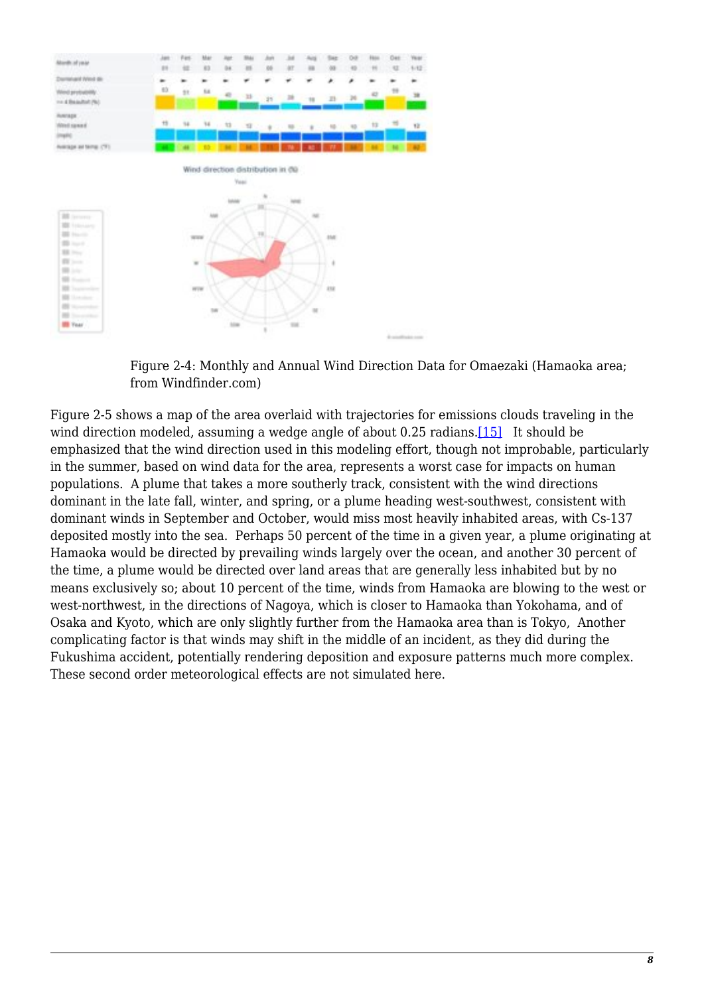



<span id="page-7-0"></span>Figure 2‑5 shows a map of the area overlaid with trajectories for emissions clouds traveling in the wind direction modeled, assuming a wedge angle of about 0.25 radians.<sup>[15]</sup> It should be emphasized that the wind direction used in this modeling effort, though not improbable, particularly in the summer, based on wind data for the area, represents a worst case for impacts on human populations. A plume that takes a more southerly track, consistent with the wind directions dominant in the late fall, winter, and spring, or a plume heading west-southwest, consistent with dominant winds in September and October, would miss most heavily inhabited areas, with Cs-137 deposited mostly into the sea. Perhaps 50 percent of the time in a given year, a plume originating at Hamaoka would be directed by prevailing winds largely over the ocean, and another 30 percent of the time, a plume would be directed over land areas that are generally less inhabited but by no means exclusively so; about 10 percent of the time, winds from Hamaoka are blowing to the west or west-northwest, in the directions of Nagoya, which is closer to Hamaoka than Yokohama, and of Osaka and Kyoto, which are only slightly further from the Hamaoka area than is Tokyo, Another complicating factor is that winds may shift in the middle of an incident, as they did during the Fukushima accident, potentially rendering deposition and exposure patterns much more complex. These second order meteorological effects are not simulated here.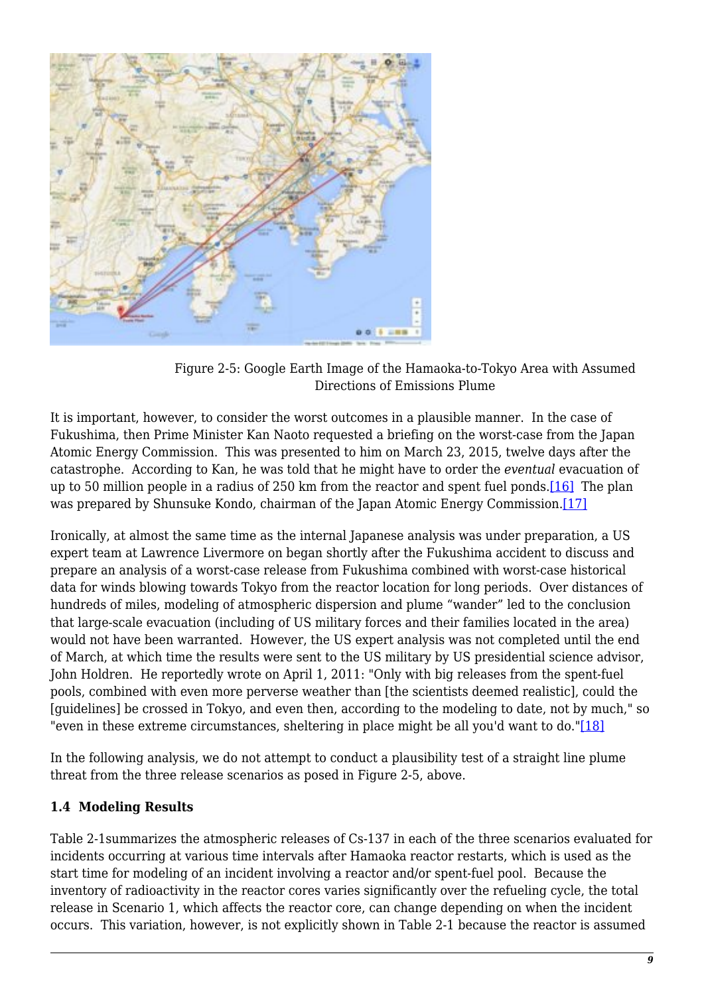

Figure 2‑5: Google Earth Image of the Hamaoka-to-Tokyo Area with Assumed Directions of Emissions Plume

It is important, however, to consider the worst outcomes in a plausible manner. In the case of Fukushima, then Prime Minister Kan Naoto requested a briefing on the worst-case from the Japan Atomic Energy Commission. This was presented to him on March 23, 2015, twelve days after the catastrophe. According to Kan, he was told that he might have to order the *eventual* evacuation of up to 50 million people in a radius of 250 km from the reactor and spent fuel ponds[.\[16\]](#page-18-0) The plan was prepared by Shunsuke Kondo, chairman of the Japan Atomic Energy Commission[.\[17\]](#page-18-1)

<span id="page-8-1"></span><span id="page-8-0"></span>Ironically, at almost the same time as the internal Japanese analysis was under preparation, a US expert team at Lawrence Livermore on began shortly after the Fukushima accident to discuss and prepare an analysis of a worst-case release from Fukushima combined with worst-case historical data for winds blowing towards Tokyo from the reactor location for long periods. Over distances of hundreds of miles, modeling of atmospheric dispersion and plume "wander" led to the conclusion that large-scale evacuation (including of US military forces and their families located in the area) would not have been warranted. However, the US expert analysis was not completed until the end of March, at which time the results were sent to the US military by US presidential science advisor, John Holdren. He reportedly wrote on April 1, 2011: "Only with big releases from the spent-fuel pools, combined with even more perverse weather than [the scientists deemed realistic], could the [guidelines] be crossed in Tokyo, and even then, according to the modeling to date, not by much," so "even in these extreme circumstances, sheltering in place might be all you'd want to do."[\[18\]](#page-18-2)

<span id="page-8-2"></span>In the following analysis, we do not attempt to conduct a plausibility test of a straight line plume threat from the three release scenarios as posed in Figure 2‑5, above.

#### **1.4 Modeling Results**

Table 2‑1summarizes the atmospheric releases of Cs-137 in each of the three scenarios evaluated for incidents occurring at various time intervals after Hamaoka reactor restarts, which is used as the start time for modeling of an incident involving a reactor and/or spent-fuel pool. Because the inventory of radioactivity in the reactor cores varies significantly over the refueling cycle, the total release in Scenario 1, which affects the reactor core, can change depending on when the incident occurs. This variation, however, is not explicitly shown in Table 2‑1 because the reactor is assumed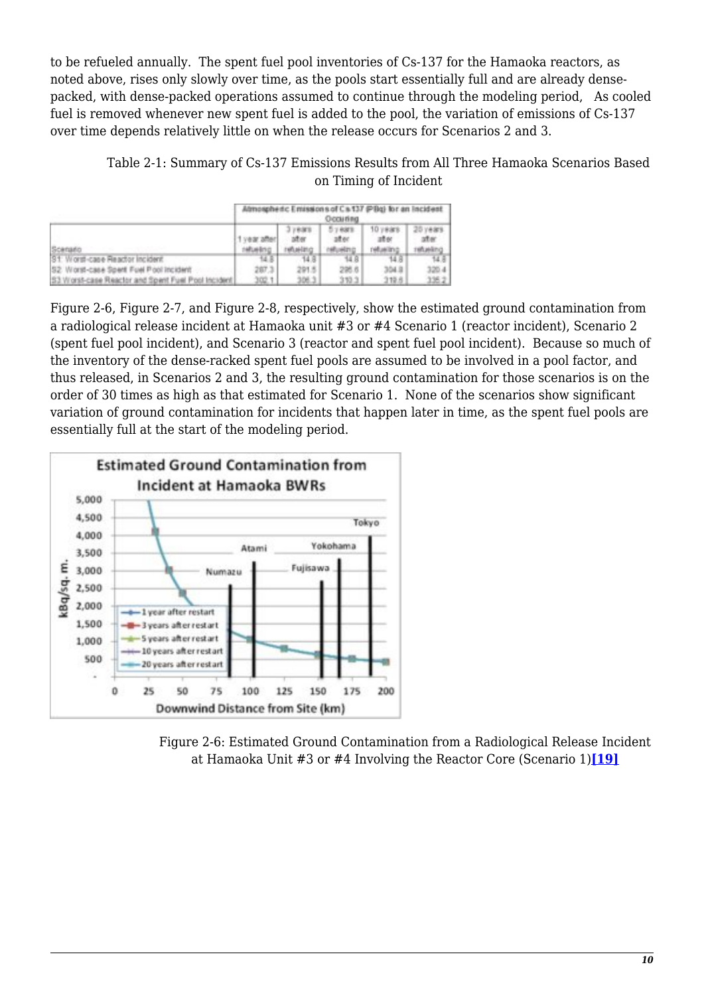to be refueled annually. The spent fuel pool inventories of Cs-137 for the Hamaoka reactors, as noted above, rises only slowly over time, as the pools start essentially full and are already densepacked, with dense-packed operations assumed to continue through the modeling period, As cooled fuel is removed whenever new spent fuel is added to the pool, the variation of emissions of Cs-137 over time depends relatively little on when the release occurs for Scenarios 2 and 3.

Table 2‑1: Summary of Cs-137 Emissions Results from All Three Hamaoka Scenarios Based on Timing of Incident

|                                                    | Ahmospheric Emissions of Cs 137 (PBq) for an Incident<br>Occuring |                          |                            |                      |          |  |  |
|----------------------------------------------------|-------------------------------------------------------------------|--------------------------|----------------------------|----------------------|----------|--|--|
| Scenado                                            | 1-year after<br>nelluebno                                         | 计算图字符<br>30.97<br>NBARDO | 7.0371<br>ater<br>netuelno | 10 years<br>retuenno | retuelno |  |  |
| S1: Word-case Reactor Incident                     |                                                                   | 14.8                     | 14.8                       | 14.8                 |          |  |  |
| S2 Worst-case Spert Foel Pool Incident             | 287.3                                                             | 291.5                    | 295.6                      | 304.St               | 320.4    |  |  |
| 53 Worst-case Reactor and Spent Fuel Pool Incident | 102                                                               | 106.                     | 370.3                      | 319.8                |          |  |  |

Figure 2‑6, Figure 2‑7, and Figure 2‑8, respectively, show the estimated ground contamination from a radiological release incident at Hamaoka unit #3 or #4 Scenario 1 (reactor incident), Scenario 2 (spent fuel pool incident), and Scenario 3 (reactor and spent fuel pool incident). Because so much of the inventory of the dense-racked spent fuel pools are assumed to be involved in a pool factor, and thus released, in Scenarios 2 and 3, the resulting ground contamination for those scenarios is on the order of 30 times as high as that estimated for Scenario 1. None of the scenarios show significant variation of ground contamination for incidents that happen later in time, as the spent fuel pools are essentially full at the start of the modeling period.



<span id="page-9-0"></span>Figure 2‑6: Estimated Ground Contamination from a Radiological Release Incident at Hamaoka Unit #3 or #4 Involving the Reactor Core (Scenario 1)**[\[19\]](#page-18-3)**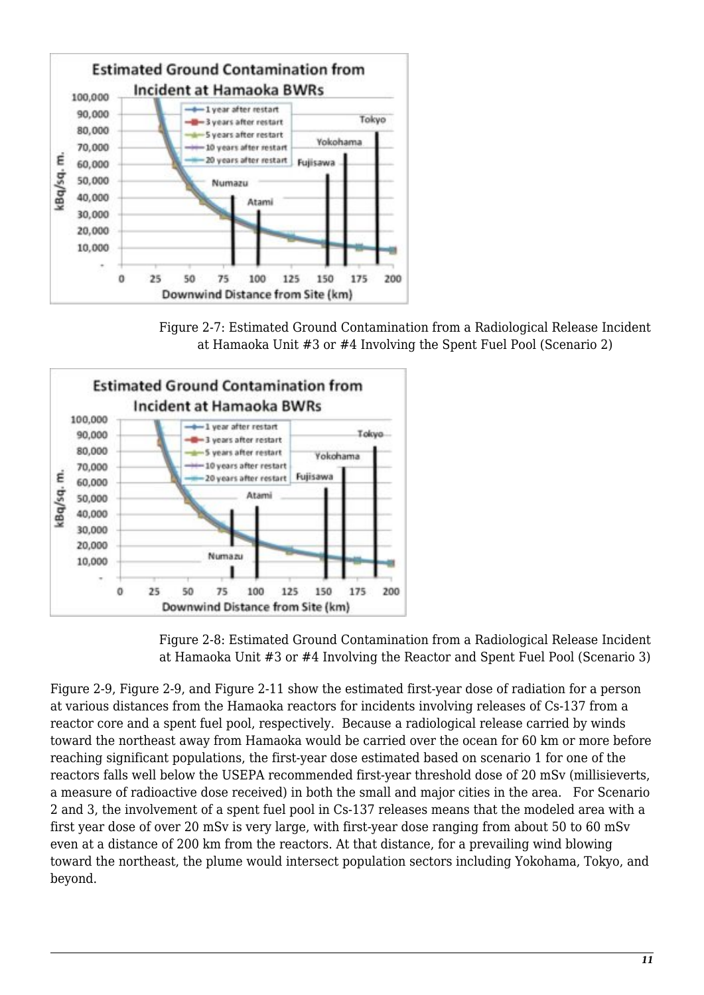

Figure 2‑7: Estimated Ground Contamination from a Radiological Release Incident at Hamaoka Unit #3 or #4 Involving the Spent Fuel Pool (Scenario 2)



Figure 2‑8: Estimated Ground Contamination from a Radiological Release Incident at Hamaoka Unit #3 or #4 Involving the Reactor and Spent Fuel Pool (Scenario 3)

Figure 2‑9, Figure 2‑9, and Figure 2‑11 show the estimated first-year dose of radiation for a person at various distances from the Hamaoka reactors for incidents involving releases of Cs-137 from a reactor core and a spent fuel pool, respectively. Because a radiological release carried by winds toward the northeast away from Hamaoka would be carried over the ocean for 60 km or more before reaching significant populations, the first-year dose estimated based on scenario 1 for one of the reactors falls well below the USEPA recommended first-year threshold dose of 20 mSv (millisieverts, a measure of radioactive dose received) in both the small and major cities in the area. For Scenario 2 and 3, the involvement of a spent fuel pool in Cs-137 releases means that the modeled area with a first year dose of over 20 mSv is very large, with first-year dose ranging from about 50 to 60 mSv even at a distance of 200 km from the reactors. At that distance, for a prevailing wind blowing toward the northeast, the plume would intersect population sectors including Yokohama, Tokyo, and beyond.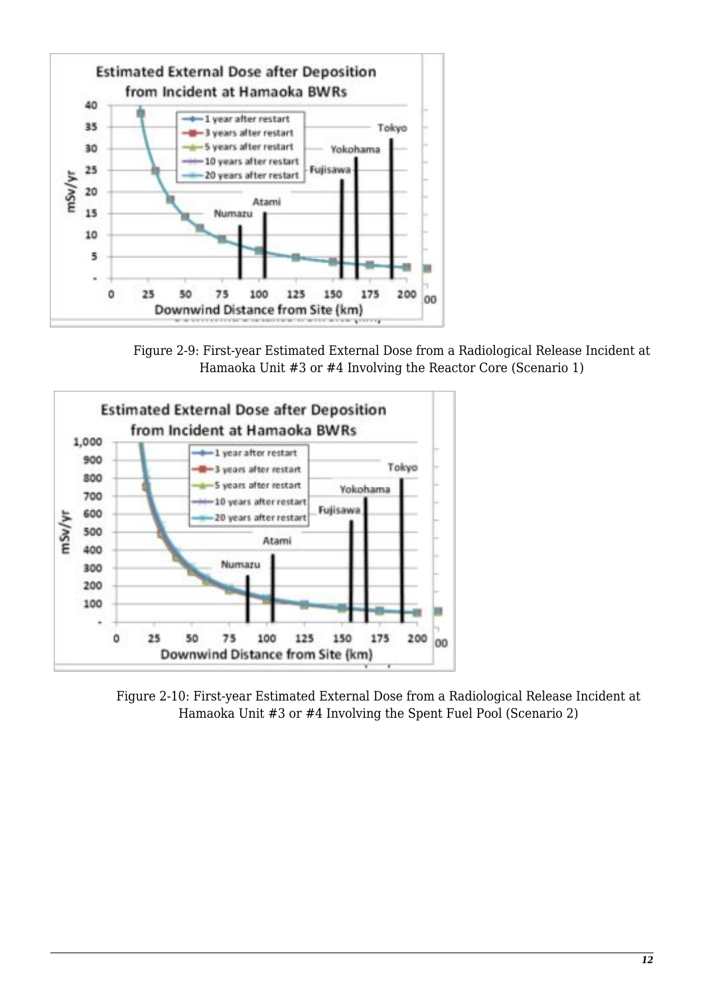

Figure 2‑9: First-year Estimated External Dose from a Radiological Release Incident at Hamaoka Unit #3 or #4 Involving the Reactor Core (Scenario 1)



Figure 2‑10: First-year Estimated External Dose from a Radiological Release Incident at Hamaoka Unit #3 or #4 Involving the Spent Fuel Pool (Scenario 2)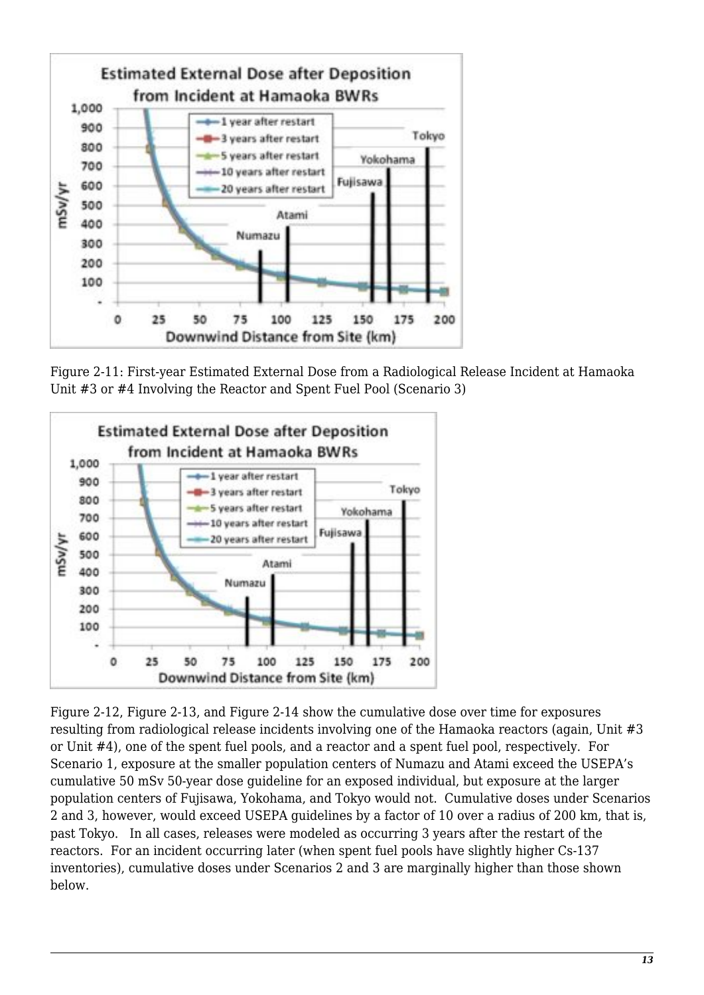

Figure 2‑11: First-year Estimated External Dose from a Radiological Release Incident at Hamaoka Unit #3 or #4 Involving the Reactor and Spent Fuel Pool (Scenario 3)



Figure 2‑12, Figure 2‑13, and Figure 2‑14 show the cumulative dose over time for exposures resulting from radiological release incidents involving one of the Hamaoka reactors (again, Unit #3 or Unit #4), one of the spent fuel pools, and a reactor and a spent fuel pool, respectively. For Scenario 1, exposure at the smaller population centers of Numazu and Atami exceed the USEPA's cumulative 50 mSv 50-year dose guideline for an exposed individual, but exposure at the larger population centers of Fujisawa, Yokohama, and Tokyo would not. Cumulative doses under Scenarios 2 and 3, however, would exceed USEPA guidelines by a factor of 10 over a radius of 200 km, that is, past Tokyo. In all cases, releases were modeled as occurring 3 years after the restart of the reactors. For an incident occurring later (when spent fuel pools have slightly higher Cs-137 inventories), cumulative doses under Scenarios 2 and 3 are marginally higher than those shown below.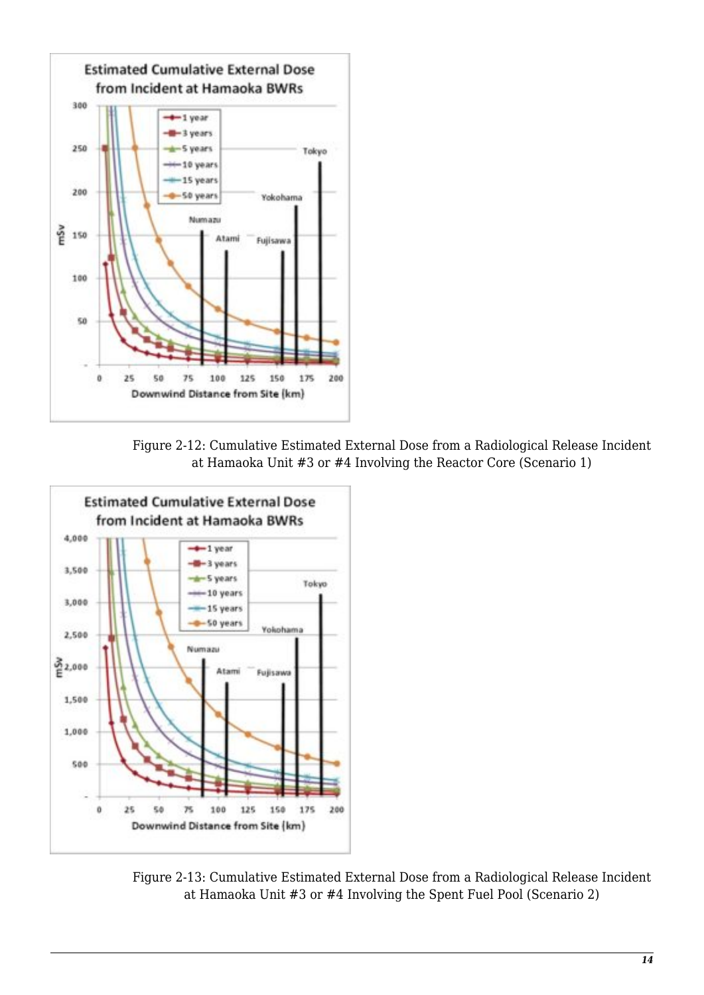

Figure 2‑12: Cumulative Estimated External Dose from a Radiological Release Incident at Hamaoka Unit #3 or #4 Involving the Reactor Core (Scenario 1)



Figure 2‑13: Cumulative Estimated External Dose from a Radiological Release Incident at Hamaoka Unit #3 or #4 Involving the Spent Fuel Pool (Scenario 2)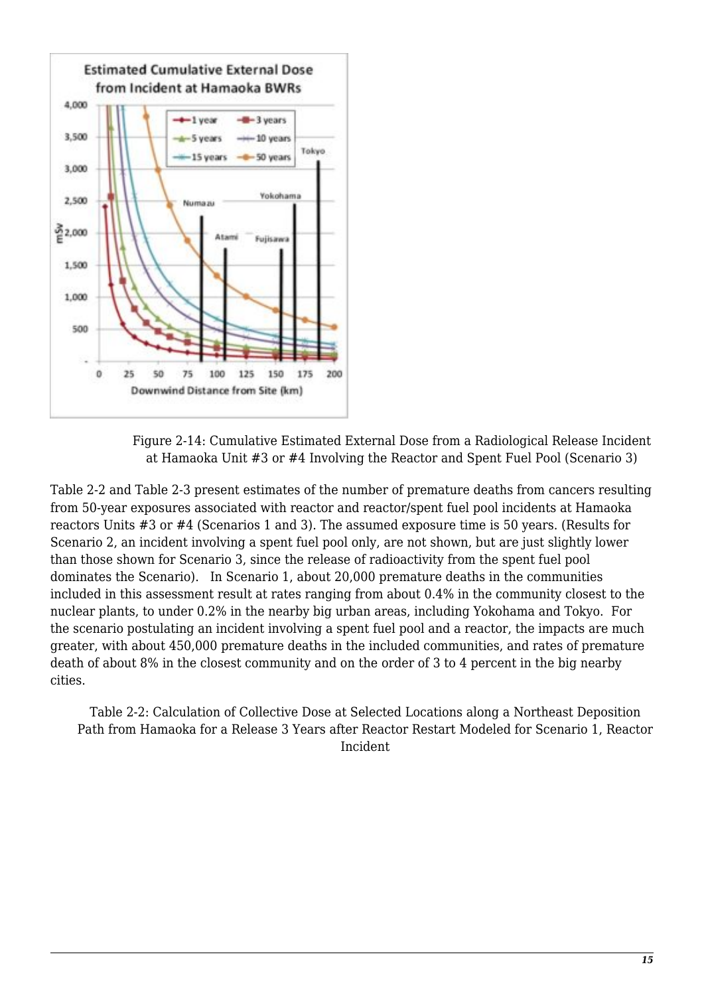

Figure 2‑14: Cumulative Estimated External Dose from a Radiological Release Incident at Hamaoka Unit #3 or #4 Involving the Reactor and Spent Fuel Pool (Scenario 3)

Table 2‑2 and Table 2‑3 present estimates of the number of premature deaths from cancers resulting from 50-year exposures associated with reactor and reactor/spent fuel pool incidents at Hamaoka reactors Units #3 or #4 (Scenarios 1 and 3). The assumed exposure time is 50 years. (Results for Scenario 2, an incident involving a spent fuel pool only, are not shown, but are just slightly lower than those shown for Scenario 3, since the release of radioactivity from the spent fuel pool dominates the Scenario). In Scenario 1, about 20,000 premature deaths in the communities included in this assessment result at rates ranging from about 0.4% in the community closest to the nuclear plants, to under 0.2% in the nearby big urban areas, including Yokohama and Tokyo. For the scenario postulating an incident involving a spent fuel pool and a reactor, the impacts are much greater, with about 450,000 premature deaths in the included communities, and rates of premature death of about 8% in the closest community and on the order of 3 to 4 percent in the big nearby cities.

Table 2‑2: Calculation of Collective Dose at Selected Locations along a Northeast Deposition Path from Hamaoka for a Release 3 Years after Reactor Restart Modeled for Scenario 1, Reactor Incident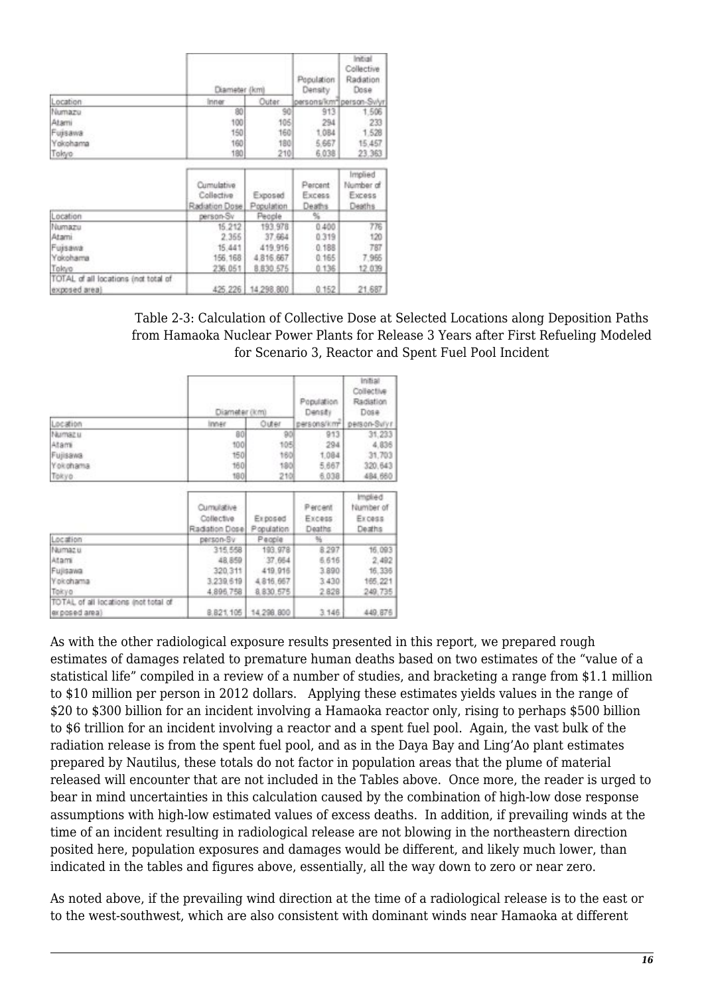|                                                       | Diameter (km)                              |                       | Population<br>Density       | Initial<br>Collective<br>Radiation<br>Dose<br>persons/km*[person-Svlyr] |
|-------------------------------------------------------|--------------------------------------------|-----------------------|-----------------------------|-------------------------------------------------------------------------|
| Location                                              | Inner                                      | Outer                 |                             |                                                                         |
| Numazu                                                | 80                                         | 90                    | 913                         | 1,506                                                                   |
| Atami                                                 | 100                                        | 105                   | 294                         | 233                                                                     |
| Fujisawa                                              | 150                                        | 160                   | 1,084                       | 1.528                                                                   |
| Yokohama                                              | 160                                        | 180                   | 5.667                       | 15,457                                                                  |
| Takyo                                                 | 180                                        | 210                   | 6.038                       | 23.363                                                                  |
|                                                       | Cumulative<br>Collective<br>Radiation Dose | Exposed<br>Population | Percent<br>Excess<br>Deaths | Implied<br>Number of<br>Excess<br>Deaths                                |
| Location                                              | person-Sv                                  | People                | %                           |                                                                         |
| Numazu<br>Atami                                       | 15,212<br>2,355                            | 193.978<br>37.664     | 0.400<br>0.319              | 776<br>120                                                              |
| Fujisawa                                              | 15,441                                     | 419.916               | 0.188                       | 787                                                                     |
| Yokohama                                              | 156.168                                    | 4.816.667             | 0.165                       | 7.966                                                                   |
| Takyo                                                 | 236.051                                    | 8.830.575             | 0.136                       | 12.039                                                                  |
| TOTAL of all locations (not total of<br>exposed area) | 425.226                                    | 14,298.800            | 0.152                       | 21,687                                                                  |

Table 2‑3: Calculation of Collective Dose at Selected Locations along Deposition Paths from Hamaoka Nuclear Power Plants for Release 3 Years after First Refueling Modeled for Scenario 3, Reactor and Spent Fuel Pool Incident

|                                                       | Diameter (km)                              |                       | Population<br>Density       | Initial<br>Collective<br>Radiation<br>Dose |  |
|-------------------------------------------------------|--------------------------------------------|-----------------------|-----------------------------|--------------------------------------------|--|
| Location                                              | Inner                                      | Outer                 | persons/km*                 | person-Sulvr                               |  |
| Numazu                                                | 80                                         | 90                    | 913.                        | 31.233                                     |  |
| Atam                                                  | 100                                        | 105                   | 294                         | 4,836                                      |  |
| Fujisawa                                              | 150                                        | 160                   | 1,084                       | 31,703                                     |  |
| Yokohama                                              | 160                                        | 180                   | 5,667                       | 320.643                                    |  |
| Tokyo.                                                | 180                                        | 210                   | 6.038                       | 484,660                                    |  |
|                                                       | Cumulative<br>Collective<br>Radiation Dose | Exposed<br>Population | Percent<br>Excess<br>Deaths | Implied.<br>Number of<br>Excess<br>Deaths  |  |
| Location                                              | person-Sv                                  | People                | 鲇                           |                                            |  |
| Numaz u                                               | 315,558                                    | 193, 978              | 8.297                       | 16,093                                     |  |
| Atami                                                 | 48.859                                     | 37,664                | 6.616                       | 2,492                                      |  |
| Fujisawa                                              | 320.311                                    | 419,916               | 3.890                       | 16,335                                     |  |
| Yokohama                                              | 3,239,619                                  | 4,816,667             | 3,430                       | 165,221                                    |  |
| Tokyo                                                 | 4,896,758                                  | 8, 830, 575           | 2828                        | 249,735                                    |  |
| TOTAL of all locations (not total of<br>exposed area) | 8.821.105                                  | 14,298.800            | 3.146                       | 449,876                                    |  |

As with the other radiological exposure results presented in this report, we prepared rough estimates of damages related to premature human deaths based on two estimates of the "value of a statistical life" compiled in a review of a number of studies, and bracketing a range from \$1.1 million to \$10 million per person in 2012 dollars. Applying these estimates yields values in the range of \$20 to \$300 billion for an incident involving a Hamaoka reactor only, rising to perhaps \$500 billion to \$6 trillion for an incident involving a reactor and a spent fuel pool. Again, the vast bulk of the radiation release is from the spent fuel pool, and as in the Daya Bay and Ling'Ao plant estimates prepared by Nautilus, these totals do not factor in population areas that the plume of material released will encounter that are not included in the Tables above. Once more, the reader is urged to bear in mind uncertainties in this calculation caused by the combination of high-low dose response assumptions with high-low estimated values of excess deaths. In addition, if prevailing winds at the time of an incident resulting in radiological release are not blowing in the northeastern direction posited here, population exposures and damages would be different, and likely much lower, than indicated in the tables and figures above, essentially, all the way down to zero or near zero.

As noted above, if the prevailing wind direction at the time of a radiological release is to the east or to the west-southwest, which are also consistent with dominant winds near Hamaoka at different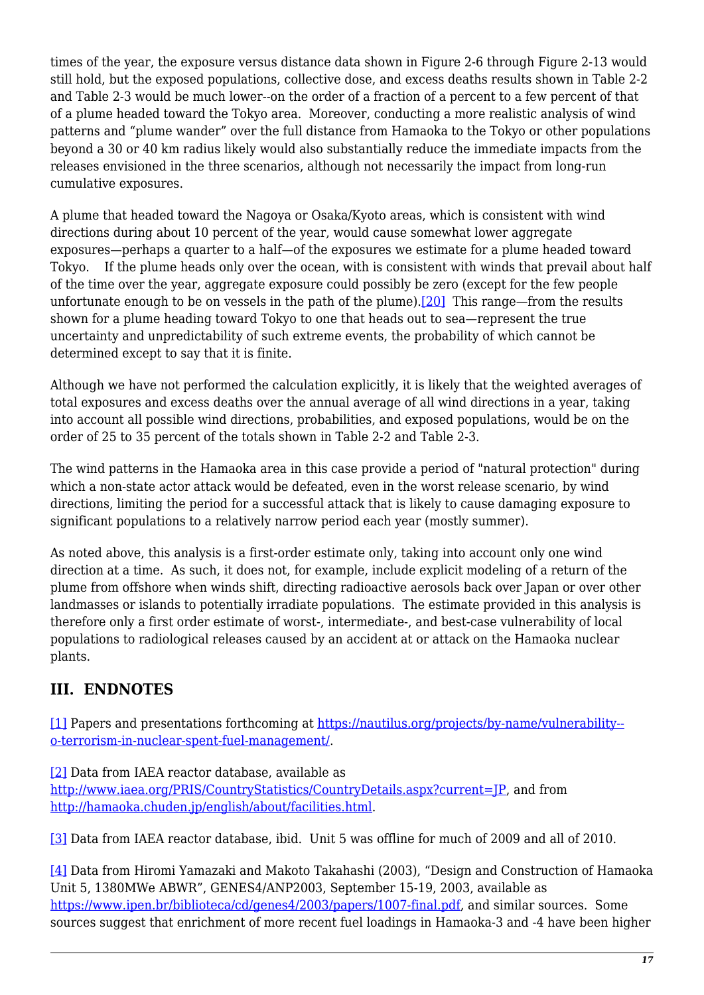times of the year, the exposure versus distance data shown in Figure 2-6 through Figure 2-13 would still hold, but the exposed populations, collective dose, and excess deaths results shown in Table 2‑2 and Table 2‑3 would be much lower--on the order of a fraction of a percent to a few percent of that of a plume headed toward the Tokyo area. Moreover, conducting a more realistic analysis of wind patterns and "plume wander" over the full distance from Hamaoka to the Tokyo or other populations beyond a 30 or 40 km radius likely would also substantially reduce the immediate impacts from the releases envisioned in the three scenarios, although not necessarily the impact from long-run cumulative exposures.

A plume that headed toward the Nagoya or Osaka/Kyoto areas, which is consistent with wind directions during about 10 percent of the year, would cause somewhat lower aggregate exposures—perhaps a quarter to a half—of the exposures we estimate for a plume headed toward Tokyo. If the plume heads only over the ocean, with is consistent with winds that prevail about half of the time over the year, aggregate exposure could possibly be zero (except for the few people unfortunate enough to be on vessels in the path of the plume).<sup>[20]</sup> This range—from the results shown for a plume heading toward Tokyo to one that heads out to sea—represent the true uncertainty and unpredictability of such extreme events, the probability of which cannot be determined except to say that it is finite.

<span id="page-16-4"></span>Although we have not performed the calculation explicitly, it is likely that the weighted averages of total exposures and excess deaths over the annual average of all wind directions in a year, taking into account all possible wind directions, probabilities, and exposed populations, would be on the order of 25 to 35 percent of the totals shown in Table 2‑2 and Table 2‑3.

The wind patterns in the Hamaoka area in this case provide a period of "natural protection" during which a non-state actor attack would be defeated, even in the worst release scenario, by wind directions, limiting the period for a successful attack that is likely to cause damaging exposure to significant populations to a relatively narrow period each year (mostly summer).

As noted above, this analysis is a first-order estimate only, taking into account only one wind direction at a time. As such, it does not, for example, include explicit modeling of a return of the plume from offshore when winds shift, directing radioactive aerosols back over Japan or over other landmasses or islands to potentially irradiate populations. The estimate provided in this analysis is therefore only a first order estimate of worst-, intermediate-, and best-case vulnerability of local populations to radiological releases caused by an accident at or attack on the Hamaoka nuclear plants.

## **III. ENDNOTES**

<span id="page-16-0"></span>[\[1\]](#page-2-0) Papers and presentations forthcoming at [https://nautilus.org/projects/by-name/vulnerability-](https://nautilus.org/projects/by-name/vulnerability-to-terrorism-in-nuclear-spent-fuel-management/) [o-terrorism-in-nuclear-spent-fuel-management/.](https://nautilus.org/projects/by-name/vulnerability-to-terrorism-in-nuclear-spent-fuel-management/)

<span id="page-16-1"></span>[\[2\]](#page-2-1) Data from IAEA reactor database, available as

<http://www.iaea.org/PRIS/CountryStatistics/CountryDetails.aspx?current=JP>, and from [http://hamaoka.chuden.jp/english/about/facilities.html.](http://hamaoka.chuden.jp/english/about/facilities.html)

<span id="page-16-2"></span>[\[3\]](#page-2-2) Data from IAEA reactor database, ibid. Unit 5 was offline for much of 2009 and all of 2010.

<span id="page-16-3"></span>[\[4\]](#page-2-3) Data from Hiromi Yamazaki and Makoto Takahashi (2003), "Design and Construction of Hamaoka Unit 5, 1380MWe ABWR", GENES4/ANP2003, September 15-19, 2003, available as <https://www.ipen.br/biblioteca/cd/genes4/2003/papers/1007-final.pdf>, and similar sources. Some sources suggest that enrichment of more recent fuel loadings in Hamaoka-3 and -4 have been higher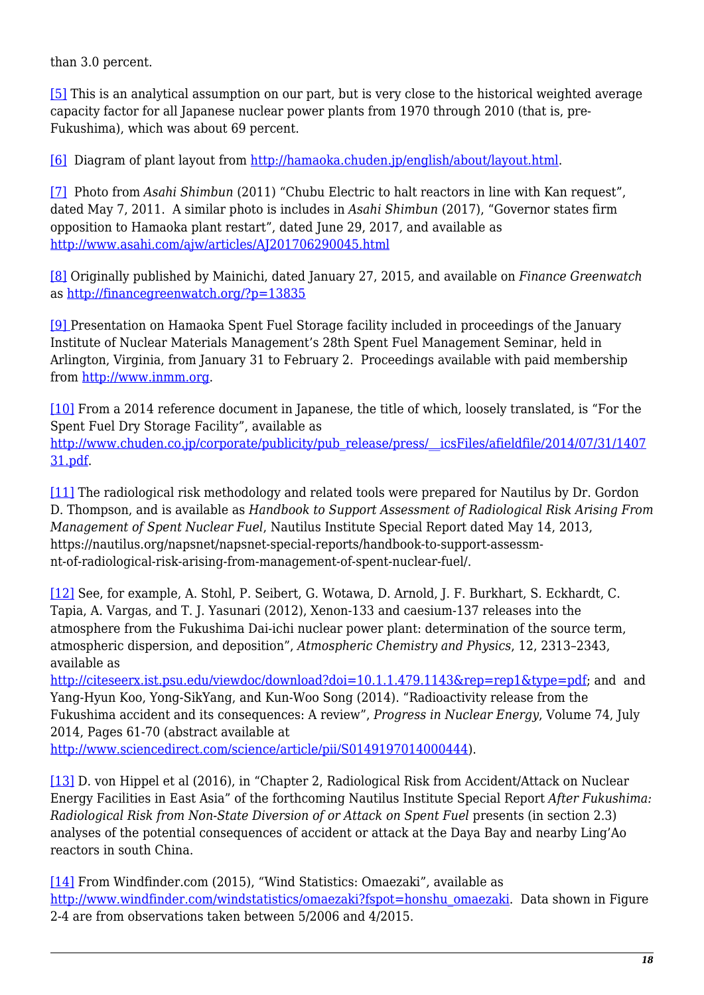than 3.0 percent.

<span id="page-17-0"></span>[\[5\]](#page-2-4) This is an analytical assumption on our part, but is very close to the historical weighted average capacity factor for all Japanese nuclear power plants from 1970 through 2010 (that is, pre-Fukushima), which was about 69 percent.

<span id="page-17-1"></span>[\[6\]](#page-3-0) Diagram of plant layout from [http://hamaoka.chuden.jp/english/about/layout.html.](http://hamaoka.chuden.jp/english/about/layout.html)

<span id="page-17-2"></span>[\[7\]](#page-3-1) Photo from *Asahi Shimbun* (2011) "Chubu Electric to halt reactors in line with Kan request", dated May 7, 2011. A similar photo is includes in *Asahi Shimbun* (2017), "Governor states firm opposition to Hamaoka plant restart", dated June 29, 2017, and available as <http://www.asahi.com/ajw/articles/AJ201706290045.html>

<span id="page-17-3"></span>[\[8\]](#page-3-2) Originally published by Mainichi, dated January 27, 2015, and available on *Finance Greenwatch* as <http://financegreenwatch.org/?p=13835>

<span id="page-17-4"></span>[\[9\] P](#page-3-3)resentation on Hamaoka Spent Fuel Storage facility included in proceedings of the January Institute of Nuclear Materials Management's 28th Spent Fuel Management Seminar, held in Arlington, Virginia, from January 31 to February 2. Proceedings available with paid membership from<http://www.inmm.org>.

<span id="page-17-5"></span>[\[10\]](#page-4-0) From a 2014 reference document in Japanese, the title of which, loosely translated, is "For the Spent Fuel Dry Storage Facility", available as [http://www.chuden.co.jp/corporate/publicity/pub\\_release/press/\\_\\_icsFiles/afieldfile/2014/07/31/1407](http://www.chuden.co.jp/corporate/publicity/pub_release/press/__icsFiles/afieldfile/2014/07/31/140731.pdf) [31.pdf.](http://www.chuden.co.jp/corporate/publicity/pub_release/press/__icsFiles/afieldfile/2014/07/31/140731.pdf)

<span id="page-17-6"></span>[\[11\]](#page-5-0) The radiological risk methodology and related tools were prepared for Nautilus by Dr. Gordon D. Thompson, and is available as *Handbook to Support Assessment of Radiological Risk Arising From Management of Spent Nuclear Fuel*, Nautilus Institute Special Report dated May 14, 2013, https://nautilus.org/napsnet/napsnet-special-reports/handbook-to-support-assessmnt-of-radiological-risk-arising-from-management-of-spent-nuclear-fuel/.

<span id="page-17-7"></span>[\[12\]](#page-5-1) See, for example, A. Stohl, P. Seibert, G. Wotawa, D. Arnold, J. F. Burkhart, S. Eckhardt, C. Tapia, A. Vargas, and T. J. Yasunari (2012), Xenon-133 and caesium-137 releases into the atmosphere from the Fukushima Dai-ichi nuclear power plant: determination of the source term, atmospheric dispersion, and deposition", *Atmospheric Chemistry and Physics*, 12, 2313–2343, available as

<http://citeseerx.ist.psu.edu/viewdoc/download?doi=10.1.1.479.1143&rep=rep1&type=pdf>; and and Yang-Hyun Koo, Yong-SikYang, and Kun-Woo Song (2014). "Radioactivity release from the Fukushima accident and its consequences: A review", *Progress in Nuclear Energy*, Volume 74, July 2014, Pages 61-70 (abstract available at

[http://www.sciencedirect.com/science/article/pii/S0149197014000444\)](http://www.sciencedirect.com/science/article/pii/S0149197014000444).

<span id="page-17-8"></span>[\[13\]](#page-5-2) D. von Hippel et al (2016), in "Chapter 2, Radiological Risk from Accident/Attack on Nuclear Energy Facilities in East Asia" of the forthcoming Nautilus Institute Special Report *After Fukushima: Radiological Risk from Non-State Diversion of or Attack on Spent Fuel* presents (in section 2.3) analyses of the potential consequences of accident or attack at the Daya Bay and nearby Ling'Ao reactors in south China.

<span id="page-17-10"></span><span id="page-17-9"></span>[\[14\]](#page-6-0) From Windfinder.com (2015), "Wind Statistics: Omaezaki", available as [http://www.windfinder.com/windstatistics/omaezaki?fspot=honshu\\_omaezaki](http://www.windfinder.com/windstatistics/omaezaki?fspot=honshu_omaezaki). Data shown in Figure 2‑4 are from observations taken between 5/2006 and 4/2015.